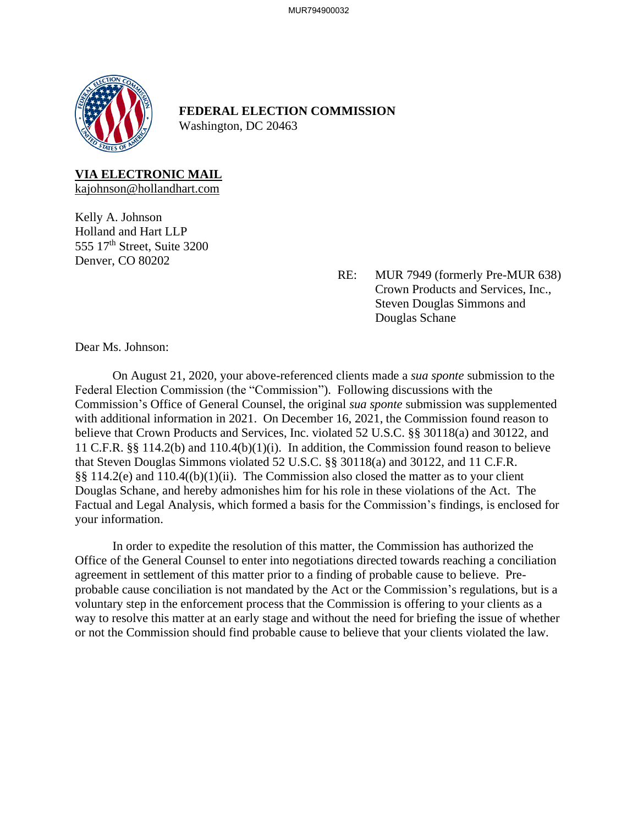

**FEDERAL ELECTION COMMISSION** Washington, DC 20463

**VIA ELECTRONIC MAIL**

kajohnson@hollandhart.com

Kelly A. Johnson Holland and Hart LLP 555  $17<sup>th</sup>$  Street, Suite 3200 Denver, CO 80202

> RE: MUR 7949 (formerly Pre-MUR 638) Crown Products and Services, Inc., Steven Douglas Simmons and Douglas Schane

Dear Ms. Johnson:

On August 21, 2020, your above-referenced clients made a *sua sponte* submission to the Federal Election Commission (the "Commission"). Following discussions with the Commission's Office of General Counsel, the original *sua sponte* submission was supplemented with additional information in 2021. On December 16, 2021, the Commission found reason to believe that Crown Products and Services, Inc. violated 52 U.S.C. §§ 30118(a) and 30122, and 11 C.F.R. §§ 114.2(b) and 110.4(b)(1)(i). In addition, the Commission found reason to believe that Steven Douglas Simmons violated 52 U.S.C. §§ 30118(a) and 30122, and 11 C.F.R. §§ 114.2(e) and 110.4((b)(1)(ii). The Commission also closed the matter as to your client Douglas Schane, and hereby admonishes him for his role in these violations of the Act. The Factual and Legal Analysis, which formed a basis for the Commission's findings, is enclosed for your information.

In order to expedite the resolution of this matter, the Commission has authorized the Office of the General Counsel to enter into negotiations directed towards reaching a conciliation agreement in settlement of this matter prior to a finding of probable cause to believe. Preprobable cause conciliation is not mandated by the Act or the Commission's regulations, but is a voluntary step in the enforcement process that the Commission is offering to your clients as a way to resolve this matter at an early stage and without the need for briefing the issue of whether or not the Commission should find probable cause to believe that your clients violated the law.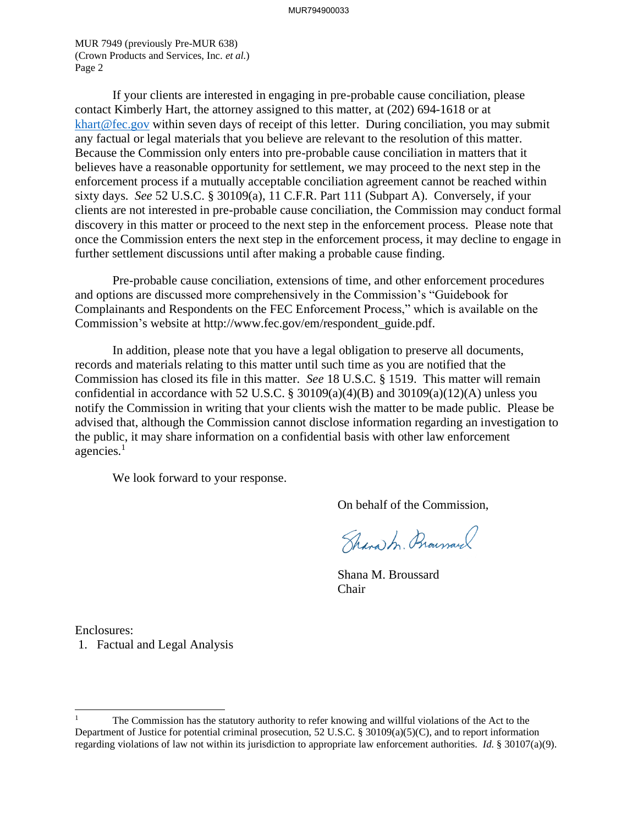MUR 7949 (previously Pre-MUR 638) (Crown Products and Services, Inc. *et al.*) Page 2

If your clients are interested in engaging in pre-probable cause conciliation, please contact Kimberly Hart, the attorney assigned to this matter, at (202) 694-1618 or at [khart@fec.gov](mailto:khart@fec.gov) within seven days of receipt of this letter. During conciliation, you may submit any factual or legal materials that you believe are relevant to the resolution of this matter. Because the Commission only enters into pre-probable cause conciliation in matters that it believes have a reasonable opportunity for settlement, we may proceed to the next step in the enforcement process if a mutually acceptable conciliation agreement cannot be reached within sixty days. *See* 52 U.S.C. § 30109(a), 11 C.F.R. Part 111 (Subpart A). Conversely, if your clients are not interested in pre-probable cause conciliation, the Commission may conduct formal discovery in this matter or proceed to the next step in the enforcement process. Please note that once the Commission enters the next step in the enforcement process, it may decline to engage in further settlement discussions until after making a probable cause finding.

Pre-probable cause conciliation, extensions of time, and other enforcement procedures and options are discussed more comprehensively in the Commission's "Guidebook for Complainants and Respondents on the FEC Enforcement Process," which is available on the Commission's website at http://www.fec.gov/em/respondent\_guide.pdf.

In addition, please note that you have a legal obligation to preserve all documents, records and materials relating to this matter until such time as you are notified that the Commission has closed its file in this matter. *See* 18 U.S.C. § 1519. This matter will remain confidential in accordance with 52 U.S.C. § 30109(a)(4)(B) and 30109(a)(12)(A) unless you notify the Commission in writing that your clients wish the matter to be made public. Please be advised that, although the Commission cannot disclose information regarding an investigation to the public, it may share information on a confidential basis with other law enforcement agencies.<sup>1</sup>

We look forward to your response.

On behalf of the Commission,

Shara M. Brownaw

Shana M. Broussard Chair

Enclosures: 1. Factual and Legal Analysis

<sup>1</sup> The Commission has the statutory authority to refer knowing and willful violations of the Act to the Department of Justice for potential criminal prosecution, 52 U.S.C. § 30109(a)(5)(C), and to report information regarding violations of law not within its jurisdiction to appropriate law enforcement authorities. *Id.* § 30107(a)(9).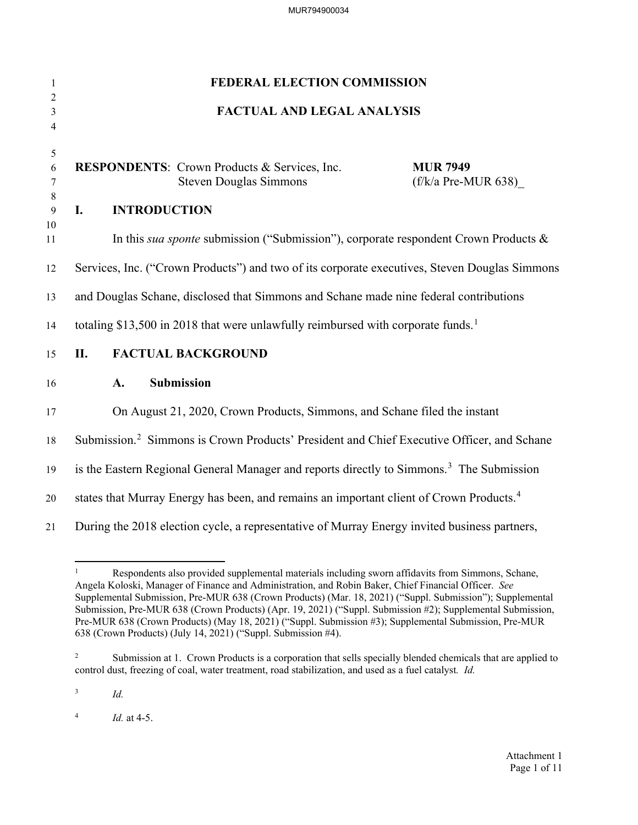| $\mathbf{1}$        | FEDERAL ELECTION COMMISSION                                                                                                      |  |  |
|---------------------|----------------------------------------------------------------------------------------------------------------------------------|--|--|
| $\overline{2}$<br>3 | <b>FACTUAL AND LEGAL ANALYSIS</b>                                                                                                |  |  |
| $\overline{4}$      |                                                                                                                                  |  |  |
| 5<br>6<br>7         | <b>RESPONDENTS:</b> Crown Products & Services, Inc.<br><b>MUR 7949</b><br><b>Steven Douglas Simmons</b><br>$(f/k/a$ Pre-MUR 638) |  |  |
| 8<br>9              | <b>INTRODUCTION</b><br>I.                                                                                                        |  |  |
| 10<br>11            | In this sua sponte submission ("Submission"), corporate respondent Crown Products &                                              |  |  |
| 12                  | Services, Inc. ("Crown Products") and two of its corporate executives, Steven Douglas Simmons                                    |  |  |
| 13                  | and Douglas Schane, disclosed that Simmons and Schane made nine federal contributions                                            |  |  |
| 14                  | totaling \$13,500 in 2018 that were unlawfully reimbursed with corporate funds. <sup>1</sup>                                     |  |  |
| 15                  | II.<br><b>FACTUAL BACKGROUND</b>                                                                                                 |  |  |
| 16                  | Submission<br>A.                                                                                                                 |  |  |
| 17                  | On August 21, 2020, Crown Products, Simmons, and Schane filed the instant                                                        |  |  |
| 18                  | Submission. <sup>2</sup> Simmons is Crown Products' President and Chief Executive Officer, and Schane                            |  |  |
| 19                  | is the Eastern Regional General Manager and reports directly to Simmons. <sup>3</sup> The Submission                             |  |  |
| 20                  | states that Murray Energy has been, and remains an important client of Crown Products. <sup>4</sup>                              |  |  |
| 21                  | During the 2018 election cycle, a representative of Murray Energy invited business partners,                                     |  |  |

<span id="page-2-0"></span><sup>1</sup> Respondents also provided supplemental materials including sworn affidavits from Simmons, Schane, Angela Koloski, Manager of Finance and Administration, and Robin Baker, Chief Financial Officer. *See*  Supplemental Submission, Pre-MUR 638 (Crown Products) (Mar. 18, 2021) ("Suppl. Submission"); Supplemental Submission, Pre-MUR 638 (Crown Products) (Apr. 19, 2021) ("Suppl. Submission #2); Supplemental Submission, Pre-MUR 638 (Crown Products) (May 18, 2021) ("Suppl. Submission #3); Supplemental Submission, Pre-MUR 638 (Crown Products) (July 14, 2021) ("Suppl. Submission #4).

<span id="page-2-1"></span><sup>2</sup> Submission at 1. Crown Products is a corporation that sells specially blended chemicals that are applied to control dust, freezing of coal, water treatment, road stabilization, and used as a fuel catalyst*. Id.*

<span id="page-2-3"></span><span id="page-2-2"></span><sup>4</sup> *Id.* at 4-5.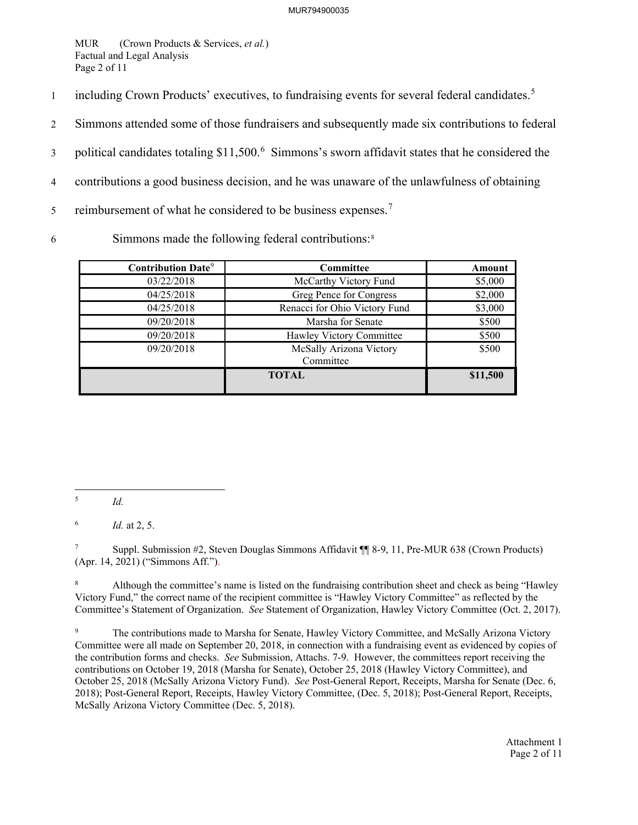MUR (Crown Products & Services, *et al.*) Factual and Legal Analysis Page 2 of 11

- including Crown Products' executives, to fundraising events for several federal candidates.<sup>[5](#page-3-0)</sup>
- 2 Simmons attended some of those fundraisers and subsequently made six contributions to federal
- 3 political candidates totaling  $$11,500<sup>6</sup>$  $$11,500<sup>6</sup>$  $$11,500<sup>6</sup>$  Simmons's sworn affidavit states that he considered the
- 4 contributions a good business decision, and he was unaware of the unlawfulness of obtaining
- 5 reimbursement of what he considered to be business expenses.<sup>[7](#page-3-2)</sup>
- Simmons made the following federal contributions:[8](#page-3-3) 6

| <b>Contribution Date<sup>9</sup></b> | <b>Committee</b>                     | Amount   |
|--------------------------------------|--------------------------------------|----------|
| 03/22/2018                           | McCarthy Victory Fund                | \$5,000  |
| 04/25/2018                           | Greg Pence for Congress              | \$2,000  |
| 04/25/2018                           | Renacci for Ohio Victory Fund        | \$3,000  |
| 09/20/2018                           | Marsha for Senate                    | \$500    |
| 09/20/2018                           | Hawley Victory Committee             | \$500    |
| 09/20/2018                           | McSally Arizona Victory<br>Committee | \$500    |
|                                      | <b>TOTAL</b>                         | \$11,500 |

<span id="page-3-2"></span>7 Suppl. Submission #2, Steven Douglas Simmons Affidavit ¶¶ 8-9, 11, Pre-MUR 638 (Crown Products) (Apr. 14, 2021) ("Simmons Aff.").

<span id="page-3-3"></span>8 Although the committee's name is listed on the fundraising contribution sheet and check as being "Hawley Victory Fund," the correct name of the recipient committee is "Hawley Victory Committee" as reflected by the Committee's Statement of Organization. *See* Statement of Organization, Hawley Victory Committee (Oct. 2, 2017).

<span id="page-3-4"></span>9 The contributions made to Marsha for Senate, Hawley Victory Committee, and McSally Arizona Victory Committee were all made on September 20, 2018, in connection with a fundraising event as evidenced by copies of the contribution forms and checks. *See* Submission, Attachs. 7-9. However, the committees report receiving the contributions on October 19, 2018 (Marsha for Senate), October 25, 2018 (Hawley Victory Committee), and October 25, 2018 (McSally Arizona Victory Fund). *See* Post-General Report, Receipts, Marsha for Senate (Dec. 6, 2018); Post-General Report, Receipts, Hawley Victory Committee, (Dec. 5, 2018); Post-General Report, Receipts, McSally Arizona Victory Committee (Dec. 5, 2018).

> Attachment 1 Page 2 of 11

<span id="page-3-0"></span><sup>5</sup> *Id.*

<span id="page-3-1"></span><sup>6</sup> *Id.* at 2, 5.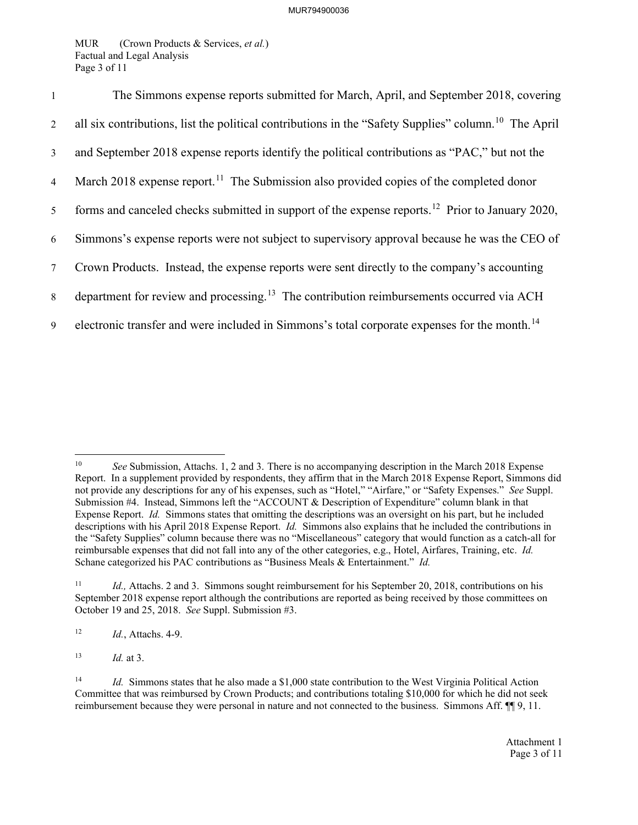MUR (Crown Products & Services, *et al.*) Factual and Legal Analysis Page 3 of 11

| $\mathbf{1}$   | The Simmons expense reports submitted for March, April, and September 2018, covering                             |
|----------------|------------------------------------------------------------------------------------------------------------------|
| $\overline{2}$ | all six contributions, list the political contributions in the "Safety Supplies" column. <sup>10</sup> The April |
| $\mathfrak{Z}$ | and September 2018 expense reports identify the political contributions as "PAC," but not the                    |
| $\overline{4}$ | March 2018 expense report. <sup>11</sup> The Submission also provided copies of the completed donor              |
| 5 <sup>5</sup> | forms and canceled checks submitted in support of the expense reports. <sup>12</sup> Prior to January 2020,      |
| 6              | Simmons's expense reports were not subject to supervisory approval because he was the CEO of                     |
| 7 <sup>7</sup> | Crown Products. Instead, the expense reports were sent directly to the company's accounting                      |
| 8              | department for review and processing. <sup>13</sup> The contribution reimbursements occurred via ACH             |
| 9              | electronic transfer and were included in Simmons's total corporate expenses for the month. <sup>14</sup>         |

<span id="page-4-2"></span>12 *Id.*, Attachs. 4-9.

<span id="page-4-3"></span>13 *Id.* at 3.

<span id="page-4-0"></span><sup>10</sup> *See* Submission, Attachs. 1, 2 and 3. There is no accompanying description in the March 2018 Expense Report. In a supplement provided by respondents, they affirm that in the March 2018 Expense Report, Simmons did not provide any descriptions for any of his expenses, such as "Hotel," "Airfare," or "Safety Expenses." *See* Suppl. Submission #4. Instead, Simmons left the "ACCOUNT & Description of Expenditure" column blank in that Expense Report. *Id.* Simmons states that omitting the descriptions was an oversight on his part, but he included descriptions with his April 2018 Expense Report. *Id.* Simmons also explains that he included the contributions in the "Safety Supplies" column because there was no "Miscellaneous" category that would function as a catch-all for reimbursable expenses that did not fall into any of the other categories, e.g., Hotel, Airfares, Training, etc. *Id.*  Schane categorized his PAC contributions as "Business Meals & Entertainment." *Id.* 

<span id="page-4-1"></span><sup>11</sup> *Id.,* Attachs. 2 and 3. Simmons sought reimbursement for his September 20, 2018, contributions on his September 2018 expense report although the contributions are reported as being received by those committees on October 19 and 25, 2018. *See* Suppl. Submission #3.

<span id="page-4-4"></span><sup>&</sup>lt;sup>14</sup> *Id.* Simmons states that he also made a \$1,000 state contribution to the West Virginia Political Action Committee that was reimbursed by Crown Products; and contributions totaling \$10,000 for which he did not seek reimbursement because they were personal in nature and not connected to the business. Simmons Aff.  $\P\P$  9, 11.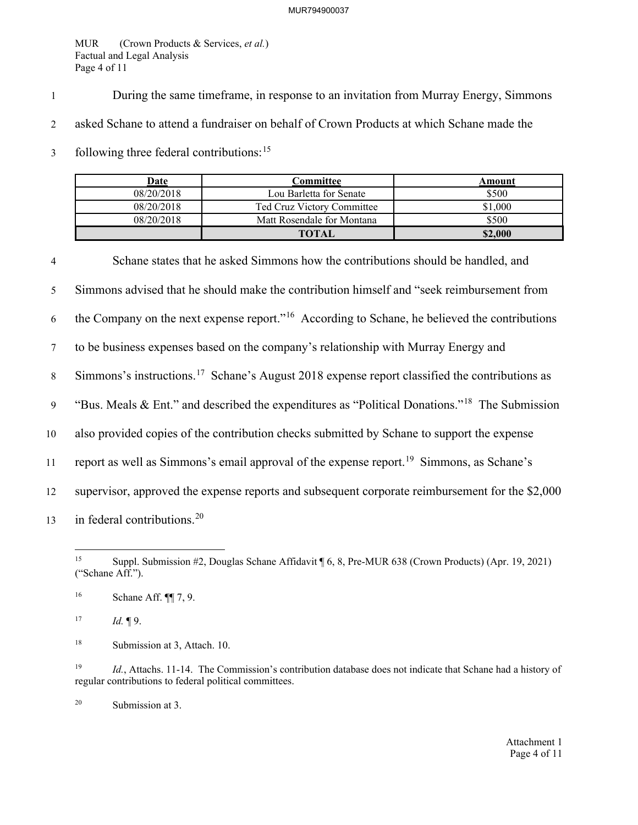MUR (Crown Products & Services, *et al.*) Factual and Legal Analysis Page 4 of 11

1 During the same timeframe, in response to an invitation from Murray Energy, Simmons

2 asked Schane to attend a fundraiser on behalf of Crown Products at which Schane made the

3 following three federal contributions:<sup>[15](#page-5-0)</sup>

| Date       | Committee                  | Amount  |
|------------|----------------------------|---------|
| 08/20/2018 | Lou Barletta for Senate    | \$500   |
| 08/20/2018 | Ted Cruz Victory Committee | \$1.000 |
| 08/20/2018 | Matt Rosendale for Montana | \$500   |
|            | <b>TOTAL</b>               | \$2,000 |

4 Schane states that he asked Simmons how the contributions should be handled, and 5 Simmons advised that he should make the contribution himself and "seek reimbursement from 6 the Company on the next expense report."<sup>[16](#page-5-1)</sup> According to Schane, he believed the contributions 7 to be business expenses based on the company's relationship with Murray Energy and Simmons's instructions.<sup>[17](#page-5-2)</sup> Schane's August 2018 expense report classified the contributions as "Bus. Meals & Ent." and described the expenditures as "Political Donations."<sup>[18](#page-5-3)</sup> The Submission 10 also provided copies of the contribution checks submitted by Schane to support the expense 11 report as well as Simmons's email approval of the expense report.<sup>19</sup> Simmons, as Schane's 12 supervisor, approved the expense reports and subsequent corporate reimbursement for the \$2,000 13 in federal contributions.<sup>[20](#page-5-5)</sup>

<span id="page-5-2"></span> $17$  *Id.*  $\P$ 9.

<span id="page-5-3"></span><sup>18</sup> Submission at 3, Attach. 10.

<span id="page-5-4"></span>19 *Id.*, Attachs. 11-14. The Commission's contribution database does not indicate that Schane had a history of regular contributions to federal political committees.

<span id="page-5-5"></span>20 Submission at 3.

<span id="page-5-0"></span><sup>15</sup> Suppl. Submission #2, Douglas Schane Affidavit ¶ 6, 8, Pre-MUR 638 (Crown Products) (Apr. 19, 2021) ("Schane Aff.").

<span id="page-5-1"></span><sup>16</sup> Schane Aff. ¶¶ 7, 9.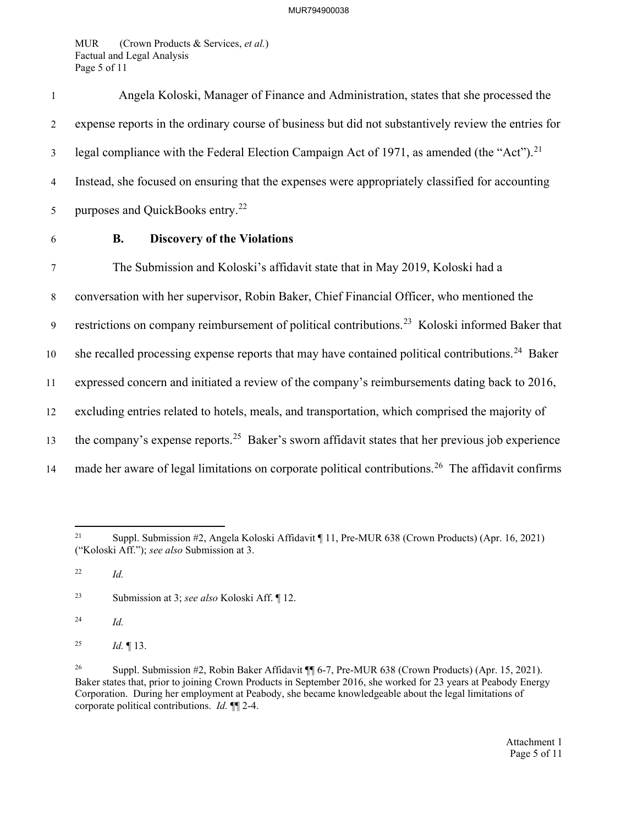MUR (Crown Products & Services, *et al.*) Factual and Legal Analysis Page 5 of 11

| 6              | <b>Discovery of the Violations</b><br>В.                                                               |
|----------------|--------------------------------------------------------------------------------------------------------|
| 5              | purposes and QuickBooks entry. <sup>22</sup>                                                           |
| 4              | Instead, she focused on ensuring that the expenses were appropriately classified for accounting        |
| 3              | legal compliance with the Federal Election Campaign Act of 1971, as amended (the "Act"). <sup>21</sup> |
| $\overline{c}$ | expense reports in the ordinary course of business but did not substantively review the entries for    |
|                | Angela Koloski, Manager of Finance and Administration, states that she processed the                   |

7 The Submission and Koloski's affidavit state that in May 2019, Koloski had a 8 conversation with her supervisor, Robin Baker, Chief Financial Officer, who mentioned the 9 restrictions on company reimbursement of political contributions.<sup>[23](#page-6-2)</sup> Koloski informed Baker that 10 she recalled processing expense reports that may have contained political contributions.<sup>[24](#page-6-3)</sup> Baker 11 expressed concern and initiated a review of the company's reimbursements dating back to 2016, 12 excluding entries related to hotels, meals, and transportation, which comprised the majority of the company's expense reports.<sup>[25](#page-6-4)</sup> Baker's sworn affidavit states that her previous job experience 14 made her aware of legal limitations on corporate political contributions.<sup>[26](#page-6-5)</sup> The affidavit confirms

<span id="page-6-0"></span><sup>21</sup> Suppl. Submission #2, Angela Koloski Affidavit ¶ 11, Pre-MUR 638 (Crown Products) (Apr. 16, 2021) ("Koloski Aff."); *see also* Submission at 3.

<span id="page-6-1"></span><sup>22</sup> *Id.*

<span id="page-6-3"></span><span id="page-6-2"></span><sup>23</sup> Submission at 3; *see also* Koloski Aff. ¶ 12.

<span id="page-6-4"></span><sup>&</sup>lt;sup>25</sup> *Id.*  $\P$  13.

<span id="page-6-5"></span><sup>26</sup> Suppl. Submission #2, Robin Baker Affidavit ¶¶ 6-7, Pre-MUR 638 (Crown Products) (Apr. 15, 2021). Baker states that, prior to joining Crown Products in September 2016, she worked for 23 years at Peabody Energy Corporation. During her employment at Peabody, she became knowledgeable about the legal limitations of corporate political contributions. *Id.* ¶¶ 2-4.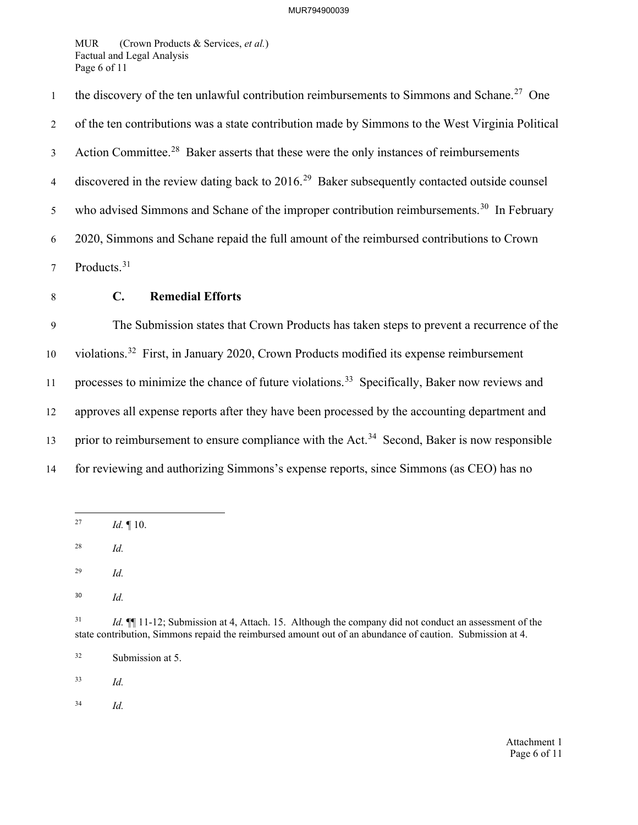MUR (Crown Products & Services, *et al.*) Factual and Legal Analysis Page 6 of 11

the discovery of the ten unlawful contribution reimbursements to Simmons and Schane.<sup>[27](#page-7-0)</sup> One 2 of the ten contributions was a state contribution made by Simmons to the West Virginia Political 3 Action Committee.<sup>[28](#page-7-1)</sup> Baker asserts that these were the only instances of reimbursements discovered in the review dating back to  $2016<sup>29</sup>$  $2016<sup>29</sup>$  $2016<sup>29</sup>$  Baker subsequently contacted outside counsel 5 who advised Simmons and Schane of the improper contribution reimbursements.<sup>[30](#page-7-3)</sup> In February 6 2020, Simmons and Schane repaid the full amount of the reimbursed contributions to Crown 7 Products.<sup>[31](#page-7-4)</sup>

- 
- 

## 8 **C. Remedial Efforts**

9 The Submission states that Crown Products has taken steps to prevent a recurrence of the 10 violations.<sup>[32](#page-7-5)</sup> First, in January 2020, Crown Products modified its expense reimbursement 11 processes to minimize the chance of future violations.<sup>[33](#page-7-6)</sup> Specifically, Baker now reviews and 12 approves all expense reports after they have been processed by the accounting department and 13 prior to reimbursement to ensure compliance with the Act.<sup>[34](#page-7-7)</sup> Second, Baker is now responsible 14 for reviewing and authorizing Simmons's expense reports, since Simmons (as CEO) has no

<span id="page-7-0"></span>27 *Id.* ¶ 10.

<span id="page-7-1"></span>28 *Id.*

<span id="page-7-2"></span>29 *Id.*

<span id="page-7-3"></span>30 *Id.*

<span id="page-7-4"></span><sup>31</sup> *Id.* **[1**] 11-12; Submission at 4, Attach. 15. Although the company did not conduct an assessment of the state contribution, Simmons repaid the reimbursed amount out of an abundance of caution. Submission at 4.

<span id="page-7-5"></span>32 Submission at 5.

<span id="page-7-7"></span><span id="page-7-6"></span>33 *Id.*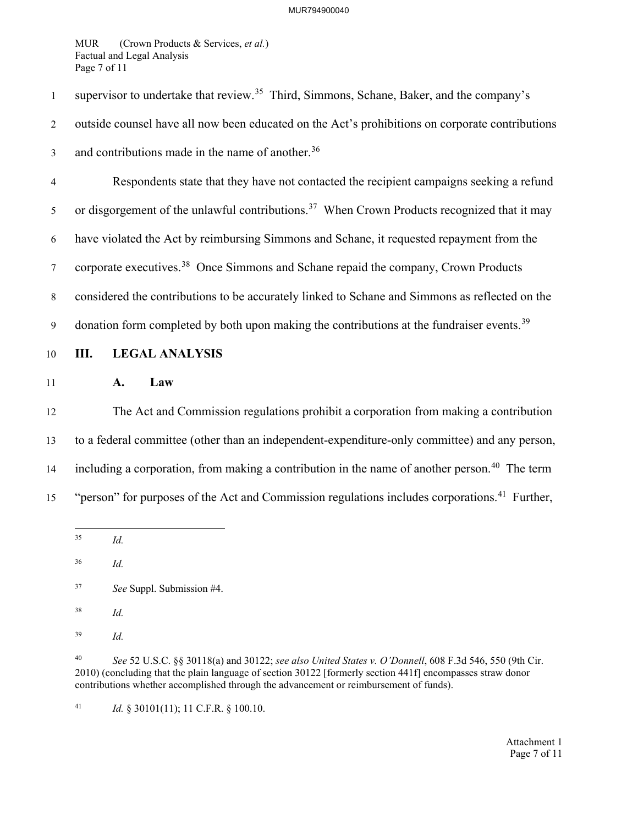MUR (Crown Products & Services, *et al.*) Factual and Legal Analysis Page 7 of 11

supervisor to undertake that review.<sup>[35](#page-8-0)</sup> Third, Simmons, Schane, Baker, and the company's 2 outside counsel have all now been educated on the Act's prohibitions on corporate contributions 3 and contributions made in the name of another.  $36$ 4 Respondents state that they have not contacted the recipient campaigns seeking a refund 5 or disgorgement of the unlawful contributions.<sup>37</sup> When Crown Products recognized that it may

6 have violated the Act by reimbursing Simmons and Schane, it requested repayment from the

 $7$  corporate executives.<sup>38</sup> Once Simmons and Schane repaid the company, Crown Products

8 considered the contributions to be accurately linked to Schane and Simmons as reflected on the

9 donation form completed by both upon making the contributions at the fundraiser events.<sup>[39](#page-8-4)</sup>

10 **III. LEGAL ANALYSIS**

11 **A. Law**

12 The Act and Commission regulations prohibit a corporation from making a contribution 13 to a federal committee (other than an independent-expenditure-only committee) and any person, including a corporation, from making a contribution in the name of another person.<sup>[40](#page-8-5)</sup> The term "15" "person" for purposes of the Act and Commission regulations includes corporations.<sup>[41](#page-8-6)</sup> Further,

<span id="page-8-0"></span>35 *Id.*

<span id="page-8-1"></span>36 *Id.*

<span id="page-8-2"></span>37 *See* Suppl. Submission #4.

<span id="page-8-3"></span>38 *Id.*

<span id="page-8-4"></span>39 *Id.*

<span id="page-8-5"></span>40 *See* 52 U.S.C. §§ 30118(a) and 30122; *see also United States v. O'Donnell*, 608 F.3d 546, 550 (9th Cir. 2010) (concluding that the plain language of section 30122 [formerly section 441f] encompasses straw donor contributions whether accomplished through the advancement or reimbursement of funds).

<span id="page-8-6"></span>41 *Id.* § 30101(11); 11 C.F.R. § 100.10.

Attachment 1 Page 7 of 11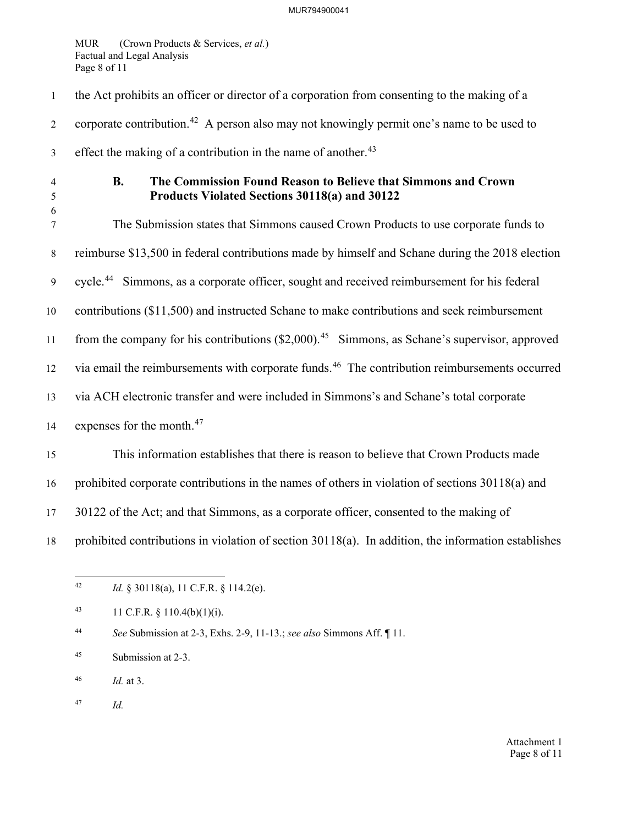## MUR794900041

MUR (Crown Products & Services, *et al.*) Factual and Legal Analysis Page 8 of 11

1 the Act prohibits an officer or director of a corporation from consenting to the making of a corporate contribution.<sup>42</sup> A person also may not knowingly permit one's name to be used to effect the making of a contribution in the name of another.<sup>[43](#page-9-1)</sup> 4 **B. The Commission Found Reason to Believe that Simmons and Crown**  5 **Products Violated Sections 30118(a) and 30122**  6 7 The Submission states that Simmons caused Crown Products to use corporate funds to 8 reimburse \$13,500 in federal contributions made by himself and Schane during the 2018 election 9 cycle.<sup>[44](#page-9-2)</sup> Simmons, as a corporate officer, sought and received reimbursement for his federal 10 contributions (\$11,500) and instructed Schane to make contributions and seek reimbursement 11 from the company for his contributions  $(\$2,000)$ .<sup>[45](#page-9-3)</sup> Simmons, as Schane's supervisor, approved 12 via email the reimbursements with corporate funds.<sup>[46](#page-9-4)</sup> The contribution reimbursements occurred 13 via ACH electronic transfer and were included in Simmons's and Schane's total corporate 14 expenses for the month. $47$ 15 This information establishes that there is reason to believe that Crown Products made 16 prohibited corporate contributions in the names of others in violation of sections 30118(a) and 17 30122 of the Act; and that Simmons, as a corporate officer, consented to the making of 18 prohibited contributions in violation of section 30118(a). In addition, the information establishes

<span id="page-9-1"></span>43 11 C.F.R.  $\S$  110.4(b)(1)(i).

<span id="page-9-2"></span>44 *See* Submission at 2-3, Exhs. 2-9, 11-13.; *see also* Simmons Aff. ¶ 11.

<span id="page-9-3"></span>45 Submission at 2-3.

<span id="page-9-5"></span><span id="page-9-4"></span>46 *Id.* at 3.

<span id="page-9-0"></span><sup>42</sup> *Id.* § 30118(a), 11 C.F.R. § 114.2(e).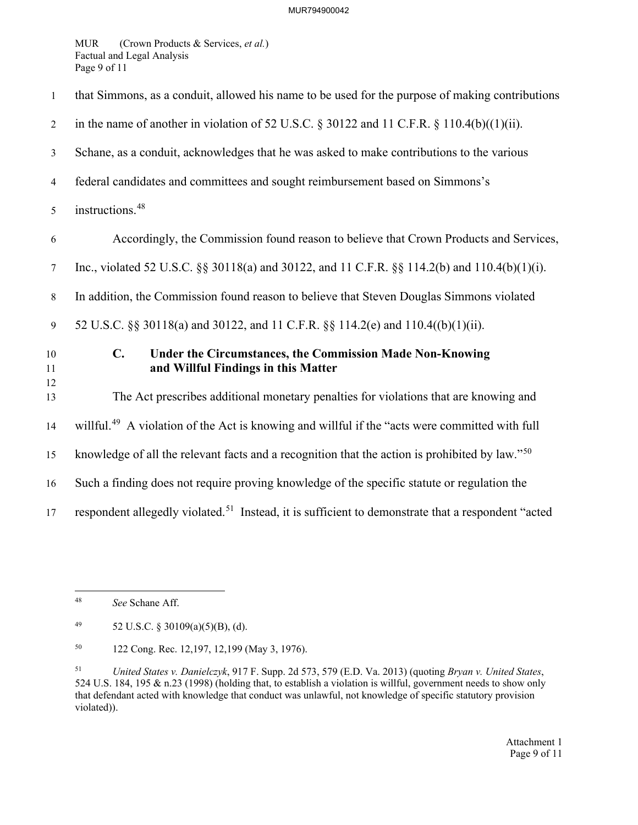MUR (Crown Products & Services, *et al.*) Factual and Legal Analysis Page 9 of 11

| $\mathbf{1}$   | that Simmons, as a conduit, allowed his name to be used for the purpose of making contributions                          |
|----------------|--------------------------------------------------------------------------------------------------------------------------|
| 2              | in the name of another in violation of 52 U.S.C. § 30122 and 11 C.F.R. § 110.4(b)((1)(ii).                               |
| $\mathfrak{Z}$ | Schane, as a conduit, acknowledges that he was asked to make contributions to the various                                |
| $\overline{4}$ | federal candidates and committees and sought reimbursement based on Simmons's                                            |
| 5              | instructions. <sup>48</sup>                                                                                              |
| 6              | Accordingly, the Commission found reason to believe that Crown Products and Services,                                    |
| 7              | Inc., violated 52 U.S.C. §§ 30118(a) and 30122, and 11 C.F.R. §§ 114.2(b) and 110.4(b)(1)(i).                            |
| 8              | In addition, the Commission found reason to believe that Steven Douglas Simmons violated                                 |
| 9              | 52 U.S.C. §§ 30118(a) and 30122, and 11 C.F.R. §§ 114.2(e) and 110.4((b)(1)(ii).                                         |
| 10<br>11       | $\mathbf{C}$ .<br><b>Under the Circumstances, the Commission Made Non-Knowing</b><br>and Willful Findings in this Matter |
| 12<br>13       | The Act prescribes additional monetary penalties for violations that are knowing and                                     |
| 14             | willful. <sup>49</sup> A violation of the Act is knowing and willful if the "acts were committed with full               |
| 15             | knowledge of all the relevant facts and a recognition that the action is prohibited by law." <sup>50</sup>               |
| 16             | Such a finding does not require proving knowledge of the specific statute or regulation the                              |
| 17             | respondent allegedly violated. <sup>51</sup> Instead, it is sufficient to demonstrate that a respondent "acted           |

<span id="page-10-3"></span>51 *United States v. Danielczyk*, 917 F. Supp. 2d 573, 579 (E.D. Va. 2013) (quoting *Bryan v. United States*, 524 U.S. 184, 195 & n.23 (1998) (holding that, to establish a violation is willful, government needs to show only that defendant acted with knowledge that conduct was unlawful, not knowledge of specific statutory provision violated)).

<span id="page-10-0"></span><sup>48</sup> *See* Schane Aff.

<span id="page-10-1"></span><sup>49 52</sup> U.S.C. § 30109(a)(5)(B), (d).

<span id="page-10-2"></span><sup>50 122</sup> Cong. Rec. 12,197, 12,199 (May 3, 1976).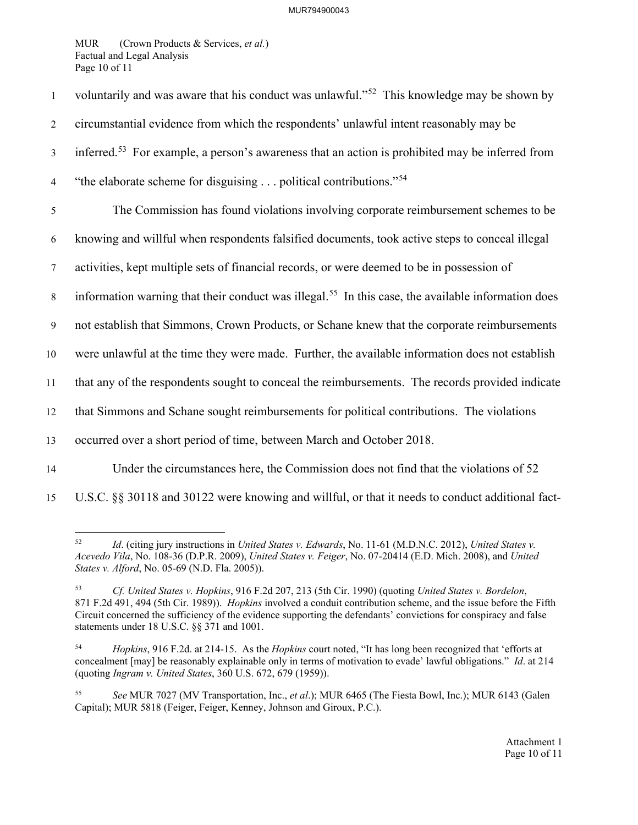MUR (Crown Products & Services, *et al.*) Factual and Legal Analysis Page 10 of 11

| $\mathbf{1}$   | voluntarily and was aware that his conduct was unlawful." <sup>52</sup> This knowledge may be shown by         |
|----------------|----------------------------------------------------------------------------------------------------------------|
| $\overline{2}$ | circumstantial evidence from which the respondents' unlawful intent reasonably may be                          |
| $\mathfrak{Z}$ | inferred. <sup>53</sup> For example, a person's awareness that an action is prohibited may be inferred from    |
| $\overline{4}$ | "the elaborate scheme for disguising political contributions." <sup>54</sup>                                   |
| 5              | The Commission has found violations involving corporate reimbursement schemes to be                            |
| 6              | knowing and willful when respondents falsified documents, took active steps to conceal illegal                 |
| $\tau$         | activities, kept multiple sets of financial records, or were deemed to be in possession of                     |
| $8\,$          | information warning that their conduct was illegal. <sup>55</sup> In this case, the available information does |
| 9              | not establish that Simmons, Crown Products, or Schane knew that the corporate reimbursements                   |
| $10\,$         | were unlawful at the time they were made. Further, the available information does not establish                |
| 11             | that any of the respondents sought to conceal the reimbursements. The records provided indicate                |
| 12             | that Simmons and Schane sought reimbursements for political contributions. The violations                      |
| 13             | occurred over a short period of time, between March and October 2018.                                          |
| 14             | Under the circumstances here, the Commission does not find that the violations of 52                           |
| 15             | U.S.C. §§ 30118 and 30122 were knowing and willful, or that it needs to conduct additional fact-               |

<span id="page-11-0"></span><sup>52</sup> *Id*. (citing jury instructions in *United States v. Edwards*, No. 11-61 (M.D.N.C. 2012), *United States v. Acevedo Vila*, No. 108-36 (D.P.R. 2009), *United States v. Feiger*, No. 07-20414 (E.D. Mich. 2008), and *United States v. Alford*, No. 05-69 (N.D. Fla. 2005)).

<span id="page-11-1"></span><sup>53</sup> *Cf. United States v. Hopkins*, 916 F.2d 207, 213 (5th Cir. 1990) (quoting *United States v. Bordelon*, 871 F.2d 491, 494 (5th Cir. 1989)). *Hopkins* involved a conduit contribution scheme, and the issue before the Fifth Circuit concerned the sufficiency of the evidence supporting the defendants' convictions for conspiracy and false statements under 18 U.S.C. §§ 371 and 1001.

<span id="page-11-2"></span><sup>54</sup> *Hopkins*, 916 F.2d. at 214-15. As the *Hopkins* court noted, "It has long been recognized that 'efforts at concealment [may] be reasonably explainable only in terms of motivation to evade' lawful obligations." *Id*. at 214 (quoting *Ingram v. United States*, 360 U.S. 672, 679 (1959)).

<span id="page-11-3"></span><sup>55</sup> *See* MUR 7027 (MV Transportation, Inc., *et al*.); MUR 6465 (The Fiesta Bowl, Inc.); MUR 6143 (Galen Capital); MUR 5818 (Feiger, Feiger, Kenney, Johnson and Giroux, P.C.).